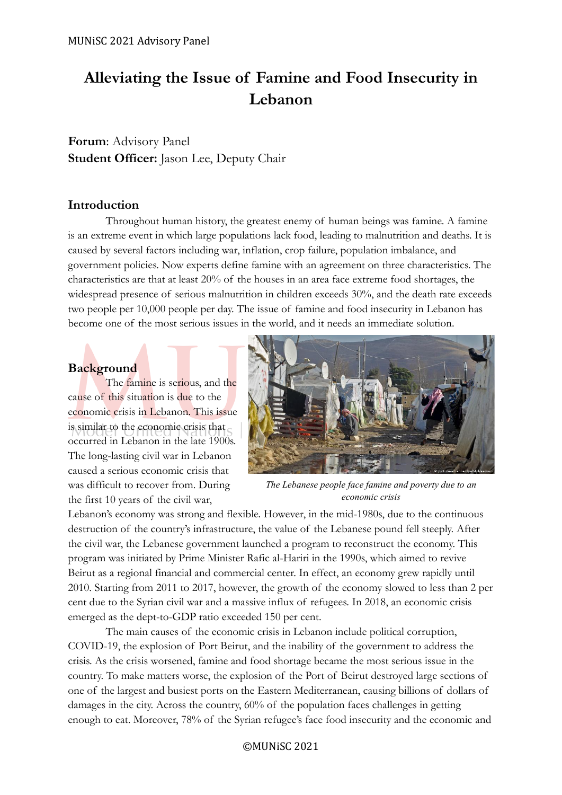# **Alleviating the Issue of Famine and Food Insecurity in Lebanon**

**Forum**: Advisory Panel **Student Officer:** Jason Lee, Deputy Chair

# **Introduction**

Throughout human history, the greatest enemy of human beings was famine. A famine is an extreme event in which large populations lack food, leading to malnutrition and deaths. It is caused by several factors including war, inflation, crop failure, population imbalance, and government policies. Now experts define famine with an agreement on three characteristics. The characteristics are that at least 20% of the houses in an area face extreme food shortages, the widespread presence of serious malnutrition in children exceeds 30%, and the death rate exceeds two people per 10,000 people per day. The issue of famine and food insecurity in Lebanon has become one of the most serious issues in the world, and it needs an immediate solution.

# **Background**

The famine is serious, and the cause of this situation is due to the economic crisis in Lebanon. This issue is similar to the economic crisis that occurred in Lebanon in the late 1900s. The long-lasting civil war in Lebanon caused a serious economic crisis that was difficult to recover from. During the first 10 years of the civil war,



*The Lebanese people face famine and poverty due to an economic crisis*

Lebanon's economy was strong and flexible. However, in the mid-1980s, due to the continuous destruction of the country's infrastructure, the value of the Lebanese pound fell steeply. After the civil war, the Lebanese government launched a program to reconstruct the economy. This program was initiated by Prime Minister Rafic al-Hariri in the 1990s, which aimed to revive Beirut as a regional financial and commercial center. In effect, an economy grew rapidly until 2010. Starting from 2011 to 2017, however, the growth of the economy slowed to less than 2 per cent due to the Syrian civil war and a massive influx of refugees. In 2018, an economic crisis emerged as the dept-to-GDP ratio exceeded 150 per cent.

The main causes of the economic crisis in Lebanon include political corruption, COVID-19, the explosion of Port Beirut, and the inability of the government to address the crisis. As the crisis worsened, famine and food shortage became the most serious issue in the country. To make matters worse, the explosion of the Port of Beirut destroyed large sections of one of the largest and busiest ports on the Eastern Mediterranean, causing billions of dollars of damages in the city. Across the country, 60% of the population faces challenges in getting enough to eat. Moreover, 78% of the Syrian refugee's face food insecurity and the economic and

©MUNiSC 2021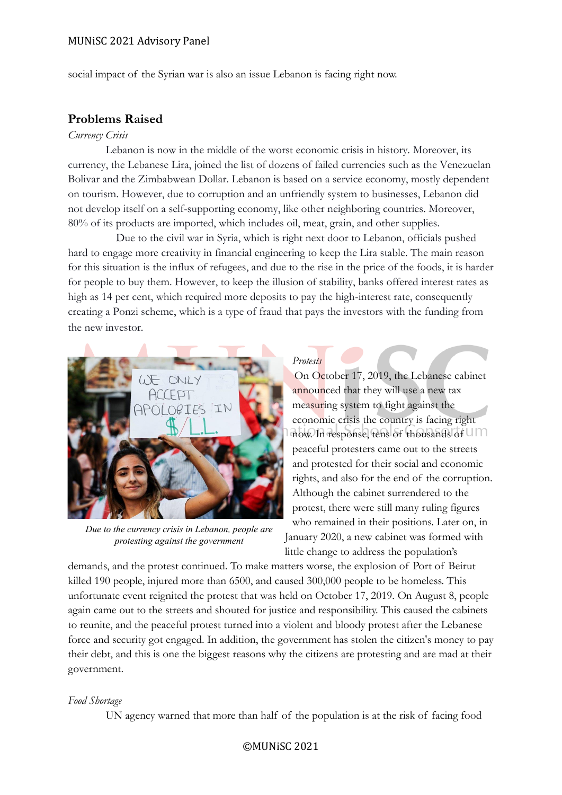social impact of the Syrian war is also an issue Lebanon is facing right now.

# **Problems Raised**

#### *Currency Crisis*

Lebanon is now in the middle of the worst economic crisis in history. Moreover, its currency, the Lebanese Lira, joined the list of dozens of failed currencies such as the Venezuelan Bolivar and the Zimbabwean Dollar. Lebanon is based on a service economy, mostly dependent on tourism. However, due to corruption and an unfriendly system to businesses, Lebanon did not develop itself on a self-supporting economy, like other neighboring countries. Moreover, 80% of its products are imported, which includes oil, meat, grain, and other supplies.

Due to the civil war in Syria, which is right next door to Lebanon, officials pushed hard to engage more creativity in financial engineering to keep the Lira stable. The main reason for this situation is the influx of refugees, and due to the rise in the price of the foods, it is harder for people to buy them. However, to keep the illusion of stability, banks offered interest rates as high as 14 per cent, which required more deposits to pay the high-interest rate, consequently creating a Ponzi scheme, which is a type of fraud that pays the investors with the funding from the new investor.



*Due to the currency crisis in Lebanon, people are protesting against the government*

# *Protests*

On October 17, 2019, the Lebanese cabinet announced that they will use a new tax measuring system to fight against the economic crisis the country is facing right now. In response, tens of thousands of peaceful protesters came out to the streets and protested for their social and economic rights, and also for the end of the corruption. Although the cabinet surrendered to the protest, there were still many ruling figures who remained in their positions. Later on, in January 2020, a new cabinet was formed with little change to address the population's

demands, and the protest continued. To make matters worse, the explosion of Port of Beirut killed 190 people, injured more than 6500, and caused 300,000 people to be homeless. This unfortunate event reignited the protest that was held on October 17, 2019. On August 8, people again came out to the streets and shouted for justice and responsibility. This caused the cabinets to reunite, and the peaceful protest turned into a violent and bloody protest after the Lebanese force and security got engaged. In addition, the government has stolen the citizen's money to pay their debt, and this is one the biggest reasons why the citizens are protesting and are mad at their government.

### *Food Shortage*

UN agency warned that more than half of the population is at the risk of facing food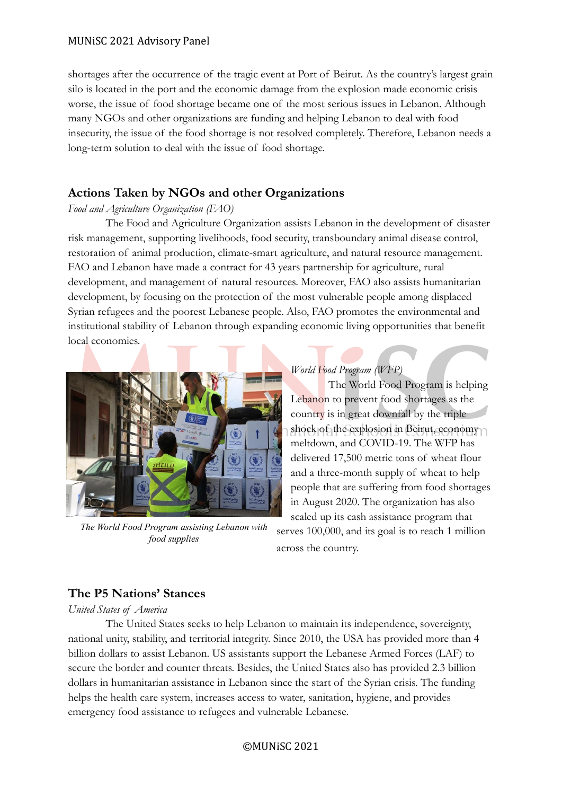shortages after the occurrence of the tragic event at Port of Beirut. As the country's largest grain silo is located in the port and the economic damage from the explosion made economic crisis worse, the issue of food shortage became one of the most serious issues in Lebanon. Although many NGOs and other organizations are funding and helping Lebanon to deal with food insecurity, the issue of the food shortage is not resolved completely. Therefore, Lebanon needs a long-term solution to deal with the issue of food shortage.

# **Actions Taken by NGOs and other Organizations**

# *Food and Agriculture Organization (FAO)*

The Food and Agriculture Organization assists Lebanon in the development of disaster risk management, supporting livelihoods, food security, transboundary animal disease control, restoration of animal production, climate-smart agriculture, and natural resource management. FAO and Lebanon have made a contract for 43 years partnership for agriculture, rural development, and management of natural resources. Moreover, FAO also assists humanitarian development, by focusing on the protection of the most vulnerable people among displaced Syrian refugees and the poorest Lebanese people. Also, FAO promotes the environmental and institutional stability of Lebanon through expanding economic living opportunities that benefit local economies.



*The World Food Program assisting Lebanon with food supplies*

### *World Food Program (WFP)*

The World Food Program is helping Lebanon to prevent food shortages as the country is in great downfall by the triple shock of the explosion in Beirut, economy meltdown, and COVID-19. The WFP has delivered 17,500 metric tons of wheat flour and a three-month supply of wheat to help people that are suffering from food shortages in August 2020. The organization has also scaled up its cash assistance program that serves 100,000, and its goal is to reach 1 million

across the country.

# **The P5 Nations' Stances**

*United States of America*

The United States seeks to help Lebanon to maintain its independence, sovereignty, national unity, stability, and territorial integrity. Since 2010, the USA has provided more than 4 billion dollars to assist Lebanon. US assistants support the Lebanese Armed Forces (LAF) to secure the border and counter threats. Besides, the United States also has provided 2.3 billion dollars in humanitarian assistance in Lebanon since the start of the Syrian crisis. The funding helps the health care system, increases access to water, sanitation, hygiene, and provides emergency food assistance to refugees and vulnerable Lebanese.

©MUNiSC 2021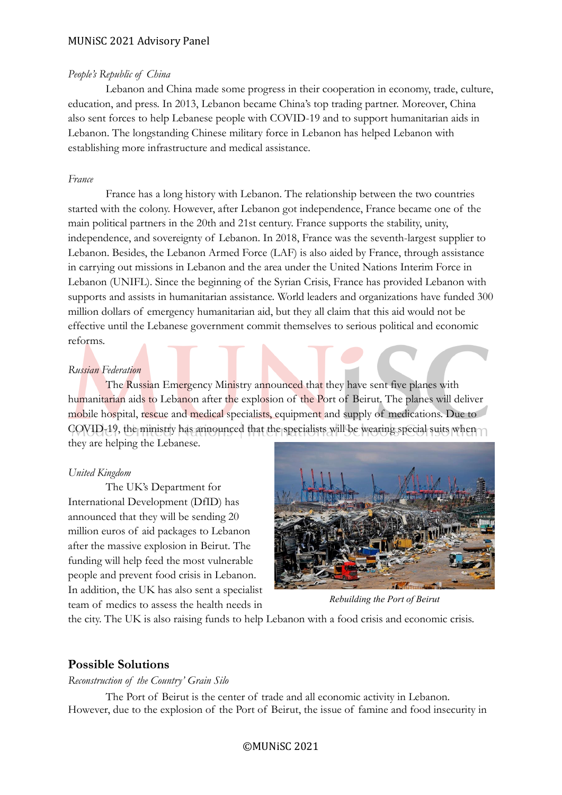#### *People's Republic of China*

Lebanon and China made some progress in their cooperation in economy, trade, culture, education, and press. In 2013, Lebanon became China's top trading partner. Moreover, China also sent forces to help Lebanese people with COVID-19 and to support humanitarian aids in Lebanon. The longstanding Chinese military force in Lebanon has helped Lebanon with establishing more infrastructure and medical assistance.

#### *France*

France has a long history with Lebanon. The relationship between the two countries started with the colony. However, after Lebanon got independence, France became one of the main political partners in the 20th and 21st century. France supports the stability, unity, independence, and sovereignty of Lebanon. In 2018, France was the seventh-largest supplier to Lebanon. Besides, the Lebanon Armed Force (LAF) is also aided by France, through assistance in carrying out missions in Lebanon and the area under the United Nations Interim Force in Lebanon (UNIFL). Since the beginning of the Syrian Crisis, France has provided Lebanon with supports and assists in humanitarian assistance. World leaders and organizations have funded 300 million dollars of emergency humanitarian aid, but they all claim that this aid would not be effective until the Lebanese government commit themselves to serious political and economic reforms.

#### *Russian Federation*

The Russian Emergency Ministry announced that they have sent five planes with humanitarian aids to Lebanon after the explosion of the Port of Beirut. The planes will deliver mobile hospital, rescue and medical specialists, equipment and supply of medications. Due to COVID-19, the ministry has announced that the specialists will be wearing special suits when they are helping the Lebanese.

#### *United Kingdom*

The UK's Department for International Development (DfID) has announced that they will be sending 20 million euros of aid packages to Lebanon after the massive explosion in Beirut. The funding will help feed the most vulnerable people and prevent food crisis in Lebanon. In addition, the UK has also sent a specialist team of medics to assess the health needs in



*Rebuilding the Port of Beirut*

the city. The UK is also raising funds to help Lebanon with a food crisis and economic crisis.

#### **Possible Solutions**

*Reconstruction of the Country' Grain Silo*

The Port of Beirut is the center of trade and all economic activity in Lebanon. However, due to the explosion of the Port of Beirut, the issue of famine and food insecurity in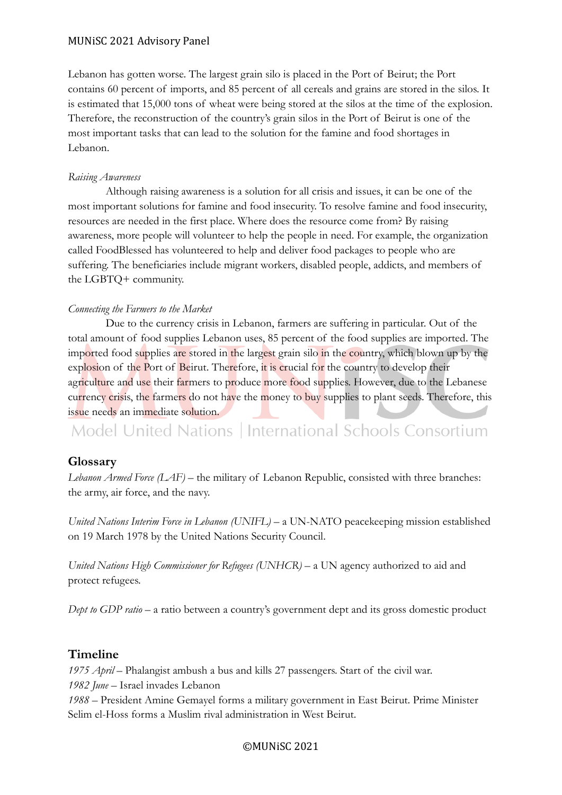Lebanon has gotten worse. The largest grain silo is placed in the Port of Beirut; the Port contains 60 percent of imports, and 85 percent of all cereals and grains are stored in the silos. It is estimated that 15,000 tons of wheat were being stored at the silos at the time of the explosion. Therefore, the reconstruction of the country's grain silos in the Port of Beirut is one of the most important tasks that can lead to the solution for the famine and food shortages in Lebanon.

### *Raising Awareness*

Although raising awareness is a solution for all crisis and issues, it can be one of the most important solutions for famine and food insecurity. To resolve famine and food insecurity, resources are needed in the first place. Where does the resource come from? By raising awareness, more people will volunteer to help the people in need. For example, the organization called FoodBlessed has volunteered to help and deliver food packages to people who are suffering. The beneficiaries include migrant workers, disabled people, addicts, and members of the LGBTQ+ community.

# *Connecting the Farmers to the Market*

Due to the currency crisis in Lebanon, farmers are suffering in particular. Out of the total amount of food supplies Lebanon uses, 85 percent of the food supplies are imported. The imported food supplies are stored in the largest grain silo in the country, which blown up by the explosion of the Port of Beirut. Therefore, it is crucial for the country to develop their agriculture and use their farmers to produce more food supplies. However, due to the Lebanese currency crisis, the farmers do not have the money to buy supplies to plant seeds. Therefore, this issue needs an immediate solution.

Model United Nations | International Schools Consortium

# **Glossary**

*Lebanon Armed Force (LAF)* – the military of Lebanon Republic, consisted with three branches: the army, air force, and the navy.

*United Nations Interim Force in Lebanon (UNIFL)* – a UN-NATO peacekeeping mission established on 19 March 1978 by the United Nations Security Council.

*United Nations High Commissioner for Refugees (UNHCR)* – a UN agency authorized to aid and protect refugees.

*Dept to GDP ratio* – a ratio between a country's government dept and its gross domestic product

# **Timeline**

*1975 April* – Phalangist ambush a bus and kills 27 passengers. Start of the civil war.

*1982 June* – Israel invades Lebanon

*1988* – President Amine Gemayel forms a military government in East Beirut. Prime Minister Selim el-Hoss forms a Muslim rival administration in West Beirut.

# ©MUNiSC 2021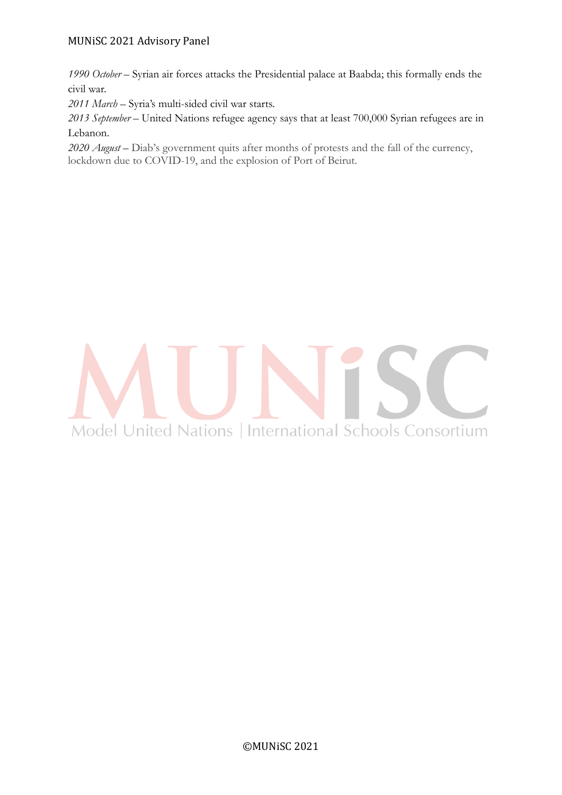*1990 October* – Syrian air forces attacks the Presidential palace at Baabda; this formally ends the civil war.

*2011 March* – Syria's multi-sided civil war starts.

*2013 September* – United Nations refugee agency says that at least 700,000 Syrian refugees are in Lebanon.

*2020 August* – Diab's government quits after months of protests and the fall of the currency, lockdown due to COVID-19, and the explosion of Port of Beirut.

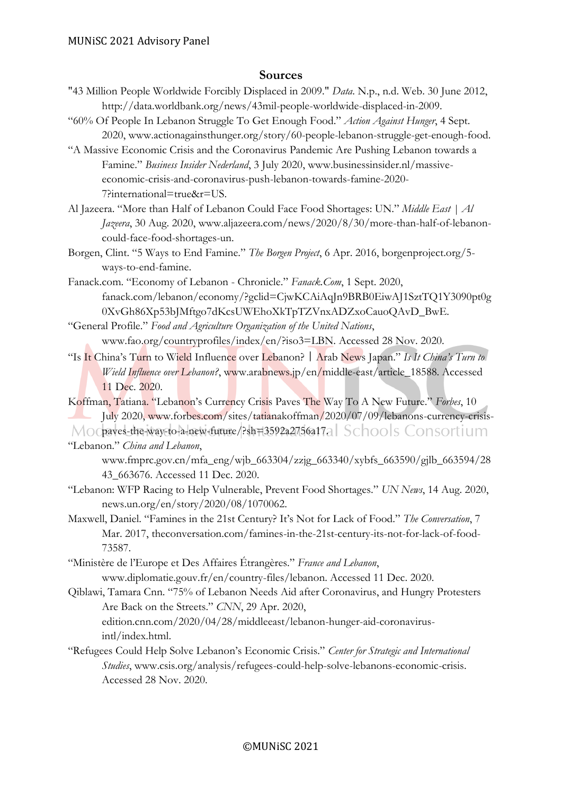# **Sources**

- "43 Million People Worldwide Forcibly Displaced in 2009." *Data*. N.p., n.d. Web. 30 June 2012, http://data.worldbank.org/news/43mil-people-worldwide-displaced-in-2009.
- "60% Of People In Lebanon Struggle To Get Enough Food." *Action Against Hunger*, 4 Sept. 2020, www.actionagainsthunger.org/story/60-people-lebanon-struggle-get-enough-food.
- "A Massive Economic Crisis and the Coronavirus Pandemic Are Pushing Lebanon towards a Famine." *Business Insider Nederland*, 3 July 2020, www.businessinsider.nl/massiveeconomic-crisis-and-coronavirus-push-lebanon-towards-famine-2020- 7?international=true&r=US.
- Al Jazeera. "More than Half of Lebanon Could Face Food Shortages: UN." *Middle East | Al Jazeera*, 30 Aug. 2020, www.aljazeera.com/news/2020/8/30/more-than-half-of-lebanoncould-face-food-shortages-un.
- Borgen, Clint. "5 Ways to End Famine." *The Borgen Project*, 6 Apr. 2016, borgenproject.org/5 ways-to-end-famine.
- Fanack.com. "Economy of Lebanon Chronicle." *Fanack.Com*, 1 Sept. 2020, fanack.com/lebanon/economy/?gclid=CjwKCAiAqJn9BRB0EiwAJ1SztTQ1Y3090pt0g 0XvGh86Xp53bJMftgo7dKcsUWEhoXkTpTZVnxADZxoCauoQAvD\_BwE.
- "General Profile." *Food and Agriculture Organization of the United Nations*, www.fao.org/countryprofiles/index/en/?iso3=LBN. Accessed 28 Nov. 2020.
- "Is It China's Turn to Wield Influence over Lebanon?|Arab News Japan." *Is It China's Turn to Wield Influence over Lebanon?*, www.arabnews.jp/en/middle-east/article\_18588. Accessed 11 Dec. 2020.
- Koffman, Tatiana. "Lebanon's Currency Crisis Paves The Way To A New Future." *Forbes*, 10 July 2020, www.forbes.com/sites/tatianakoffman/2020/07/09/lebanons-currency-crisis-
- Mocbaves-the-way-to-a-new-future/?sh=3592a2756a17. Schools Consortium "Lebanon." *China and Lebanon*,
	- www.fmprc.gov.cn/mfa\_eng/wjb\_663304/zzjg\_663340/xybfs\_663590/gjlb\_663594/28 43\_663676. Accessed 11 Dec. 2020.
- "Lebanon: WFP Racing to Help Vulnerable, Prevent Food Shortages." *UN News*, 14 Aug. 2020, news.un.org/en/story/2020/08/1070062.
- Maxwell, Daniel. "Famines in the 21st Century? It's Not for Lack of Food." *The Conversation*, 7 Mar. 2017, theconversation.com/famines-in-the-21st-century-its-not-for-lack-of-food-73587.
- "Ministère de l'Europe et Des Affaires Étrangères." *France and Lebanon*, www.diplomatie.gouv.fr/en/country-files/lebanon. Accessed 11 Dec. 2020.
- Qiblawi, Tamara Cnn. "75% of Lebanon Needs Aid after Coronavirus, and Hungry Protesters Are Back on the Streets." *CNN*, 29 Apr. 2020,
	- edition.cnn.com/2020/04/28/middleeast/lebanon-hunger-aid-coronavirusintl/index.html.
- "Refugees Could Help Solve Lebanon's Economic Crisis." *Center for Strategic and International Studies*, www.csis.org/analysis/refugees-could-help-solve-lebanons-economic-crisis. Accessed 28 Nov. 2020.